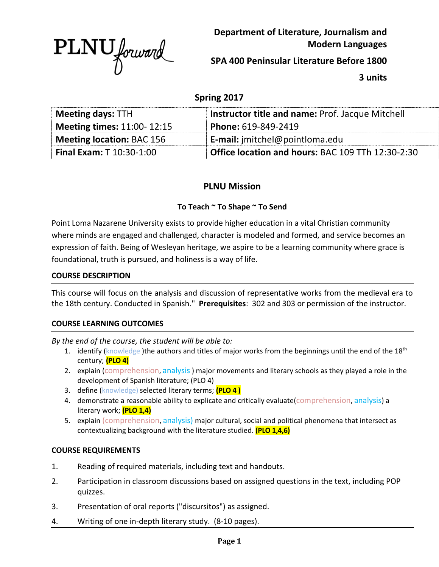

**Department of Literature, Journalism and Modern Languages**

**SPA 400 Peninsular Literature Before 1800**

**3 units**

# **Spring 2017**

| <b>Meeting days: TTH</b>          | <b>Instructor title and name: Prof. Jacque Mitchell</b>  |
|-----------------------------------|----------------------------------------------------------|
| <b>Meeting times: 11:00-12:15</b> | Phone: 619-849-2419                                      |
| Meeting location: BAC 156         | <b>E-mail:</b> imitchel@pointloma.edu                    |
| <b>Final Exam: T</b> $10:30-1:00$ | <b>Office location and hours: BAC 109 TTh 12:30-2:30</b> |

# **PLNU Mission**

# **To Teach ~ To Shape ~ To Send**

Point Loma Nazarene University exists to provide higher education in a vital Christian community where minds are engaged and challenged, character is modeled and formed, and service becomes an expression of faith. Being of Wesleyan heritage, we aspire to be a learning community where grace is foundational, truth is pursued, and holiness is a way of life.

### **COURSE DESCRIPTION**

This course will focus on the analysis and discussion of representative works from the medieval era to the 18th century. Conducted in Spanish." **Prerequisites**: 302 and 303 or permission of the instructor.

### **COURSE LEARNING OUTCOMES**

*By the end of the course, the student will be able to:*

- 1. identify (knowledge) the authors and titles of major works from the beginnings until the end of the 18<sup>th</sup> century; **(PLO 4)**
- 2. explain (comprehension, analysis) major movements and literary schools as they played a role in the development of Spanish literature; (PLO 4)
- 3. define (knowledge) selected literary terms; **(PLO 4 )**
- 4. demonstrate a reasonable ability to explicate and critically evaluate (comprehension, analysis) a literary work; **(PLO 1,4)**
- 5. explain (comprehension, analysis) major cultural, social and political phenomena that intersect as contextualizing background with the literature studied. **(PLO 1,4,6)**

### **COURSE REQUIREMENTS**

- 1. Reading of required materials, including text and handouts.
- 2. Participation in classroom discussions based on assigned questions in the text, including POP quizzes.
- 3. Presentation of oral reports ("discursitos") as assigned.
- 4. Writing of one in-depth literary study. (8-10 pages).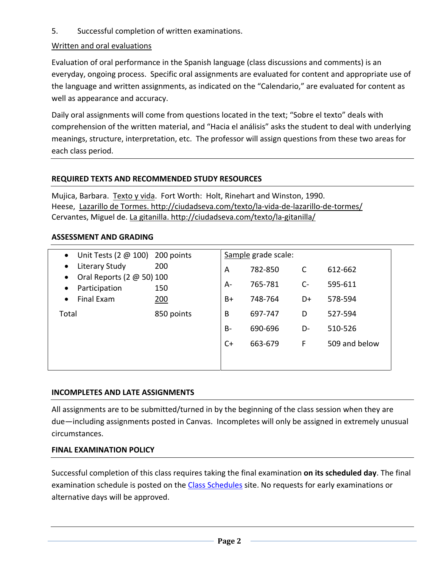5. Successful completion of written examinations.

# Written and oral evaluations

Evaluation of oral performance in the Spanish language (class discussions and comments) is an everyday, ongoing process. Specific oral assignments are evaluated for content and appropriate use of the language and written assignments, as indicated on the "Calendario," are evaluated for content as well as appearance and accuracy.

Daily oral assignments will come from questions located in the text; "Sobre el texto" deals with comprehension of the written material, and "Hacia el análisis" asks the student to deal with underlying meanings, structure, interpretation, etc. The professor will assign questions from these two areas for each class period.

# **REQUIRED TEXTS AND RECOMMENDED STUDY RESOURCES**

Mujica, Barbara. Texto y vida. Fort Worth: Holt, Rinehart and Winston, 1990. Heese, Lazarillo de Tormes. http://ciudadseva.com/texto/la-vida-de-lazarillo-de-tormes/ Cervantes, Miguel de. La gitanilla. http://ciudadseva.com/texto/la-gitanilla/

# **ASSESSMENT AND GRADING**

|            | Sample grade scale:                                            |         |      |               |
|------------|----------------------------------------------------------------|---------|------|---------------|
| 200        | A                                                              | 782-850 | C    | 612-662       |
| 150        | $A-$                                                           | 765-781 | $C-$ | 595-611       |
| 200        | $B+$                                                           | 748-764 | D+   | 578-594       |
| 850 points | B                                                              | 697-747 | D    | 527-594       |
|            | $B-$                                                           | 690-696 | D-   | 510-526       |
|            | $C+$                                                           | 663-679 | F    | 509 and below |
|            |                                                                |         |      |               |
|            | Unit Tests (2 $@$ 100) 200 points<br>Oral Reports (2 @ 50) 100 |         |      |               |

# **INCOMPLETES AND LATE ASSIGNMENTS**

All assignments are to be submitted/turned in by the beginning of the class session when they are due—including assignments posted in Canvas. Incompletes will only be assigned in extremely unusual circumstances.

### **FINAL EXAMINATION POLICY**

Successful completion of this class requires taking the final examination **on its scheduled day**. The final examination schedule is posted on the [Class Schedules](http://www.pointloma.edu/experience/academics/class-schedules) site. No requests for early examinations or alternative days will be approved.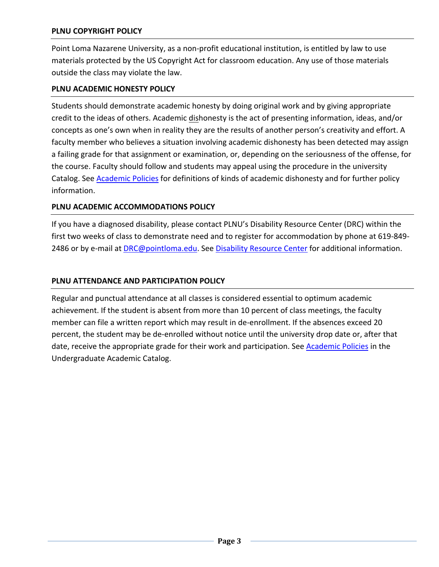# **PLNU COPYRIGHT POLICY**

Point Loma Nazarene University, as a non-profit educational institution, is entitled by law to use materials protected by the US Copyright Act for classroom education. Any use of those materials outside the class may violate the law.

### **PLNU ACADEMIC HONESTY POLICY**

Students should demonstrate academic honesty by doing original work and by giving appropriate credit to the ideas of others. Academic dishonesty is the act of presenting information, ideas, and/or concepts as one's own when in reality they are the results of another person's creativity and effort. A faculty member who believes a situation involving academic dishonesty has been detected may assign a failing grade for that assignment or examination, or, depending on the seriousness of the offense, for the course. Faculty should follow and students may appeal using the procedure in the university Catalog. See [Academic Policies](http://catalog.pointloma.edu/content.php?catoid=18&navoid=1278) for definitions of kinds of academic dishonesty and for further policy information.

### **PLNU ACADEMIC ACCOMMODATIONS POLICY**

If you have a diagnosed disability, please contact PLNU's Disability Resource Center (DRC) within the first two weeks of class to demonstrate need and to register for accommodation by phone at 619-849- 2486 or by e-mail at [DRC@pointloma.edu.](mailto:DRC@pointloma.edu) See [Disability Resource Center](http://www.pointloma.edu/experience/offices/administrative-offices/academic-advising-office/disability-resource-center) for additional information.

### **PLNU ATTENDANCE AND PARTICIPATION POLICY**

Regular and punctual attendance at all classes is considered essential to optimum academic achievement. If the student is absent from more than 10 percent of class meetings, the faculty member can file a written report which may result in de-enrollment. If the absences exceed 20 percent, the student may be de-enrolled without notice until the university drop date or, after that date, receive the appropriate grade for their work and participation. See [Academic Policies](http://catalog.pointloma.edu/content.php?catoid=18&navoid=1278) in the Undergraduate Academic Catalog.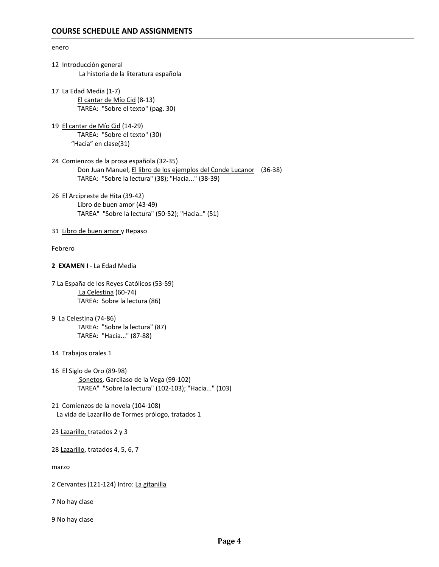# enero 12 Introducción general La historia de la literatura española 17 La Edad Media (1-7) El cantar de Mío Cid (8-13) TAREA: "Sobre el texto" (pag. 30) 19 El cantar de Mío Cid (14-29) TAREA: "Sobre el texto" (30) "Hacia" en clase(31) 24 Comienzos de la prosa española (32-35) Don Juan Manuel, El libro de los ejemplos del Conde Lucanor (36-38) TAREA: "Sobre la lectura" (38); "Hacia..." (38-39) 26 El Arcipreste de Hita (39-42) Libro de buen amor (43-49) TAREA" "Sobre la lectura" (50-52); "Hacia.." (51) 31 Libro de buen amor y Repaso Febrero **2 EXAMEN I** - La Edad Media 7 La España de los Reyes Católicos (53-59) La Celestina (60-74) TAREA: Sobre la lectura (86) 9 La Celestina (74-86) TAREA: "Sobre la lectura" (87) TAREA: "Hacia..." (87-88) 14 Trabajos orales 1 16 El Siglo de Oro (89-98) Sonetos, Garcilaso de la Vega (99-102) TAREA" "Sobre la lectura" (102-103); "Hacia..." (103) 21 Comienzos de la novela (104-108) La vida de Lazarillo de Tormes prólogo, tratados 1 23 Lazarillo, tratados 2 y 3 28 Lazarillo, tratados 4, 5, 6, 7 marzo

2 Cervantes (121-124) Intro: La gitanilla

7 No hay clase

9 No hay clase